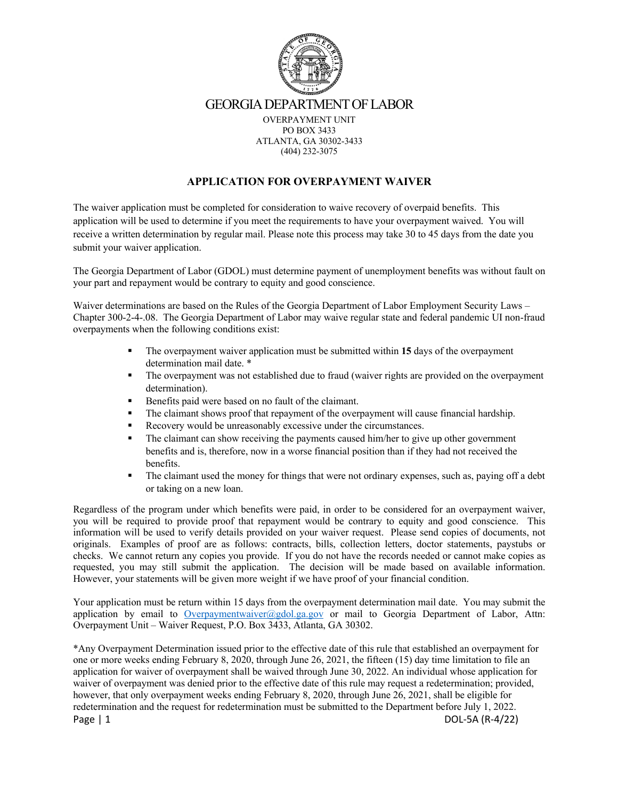

#### **APPLICATION FOR OVERPAYMENT WAIVER**

The waiver application must be completed for consideration to waive recovery of overpaid benefits. This application will be used to determine if you meet the requirements to have your overpayment waived. You will receive a written determination by regular mail. Please note this process may take 30 to 45 days from the date you submit your waiver application.

The Georgia Department of Labor (GDOL) must determine payment of unemployment benefits was without fault on your part and repayment would be contrary to equity and good conscience.

Waiver determinations are based on the Rules of the Georgia Department of Labor Employment Security Laws – Chapter 300-2-4-.08. The Georgia Department of Labor may waive regular state and federal pandemic UI non-fraud overpayments when the following conditions exist:

- § The overpayment waiver application must be submitted within **15** days of the overpayment determination mail date. \*
- The overpayment was not established due to fraud (waiver rights are provided on the overpayment determination).
- Benefits paid were based on no fault of the claimant.
- The claimant shows proof that repayment of the overpayment will cause financial hardship.
- Recovery would be unreasonably excessive under the circumstances.
- The claimant can show receiving the payments caused him/her to give up other government benefits and is, therefore, now in a worse financial position than if they had not received the benefits.
- The claimant used the money for things that were not ordinary expenses, such as, paying off a debt or taking on a new loan.

Regardless of the program under which benefits were paid, in order to be considered for an overpayment waiver, you will be required to provide proof that repayment would be contrary to equity and good conscience. This information will be used to verify details provided on your waiver request. Please send copies of documents, not originals. Examples of proof are as follows: contracts, bills, collection letters, doctor statements, paystubs or checks. We cannot return any copies you provide. If you do not have the records needed or cannot make copies as requested, you may still submit the application. The decision will be made based on available information. However, your statements will be given more weight if we have proof of your financial condition.

Your application must be return within 15 days from the overpayment determination mail date. You may submit the application by email to Overpaymentwaiver@gdol.ga.gov or mail to Georgia Department of Labor, Attn: Overpayment Unit – Waiver Request, P.O. Box 3433, Atlanta, GA 30302.

Page | 1 DOL-5A (R-4/22) \*Any Overpayment Determination issued prior to the effective date of this rule that established an overpayment for one or more weeks ending February 8, 2020, through June 26, 2021, the fifteen (15) day time limitation to file an application for waiver of overpayment shall be waived through June 30, 2022. An individual whose application for waiver of overpayment was denied prior to the effective date of this rule may request a redetermination; provided, however, that only overpayment weeks ending February 8, 2020, through June 26, 2021, shall be eligible for redetermination and the request for redetermination must be submitted to the Department before July 1, 2022.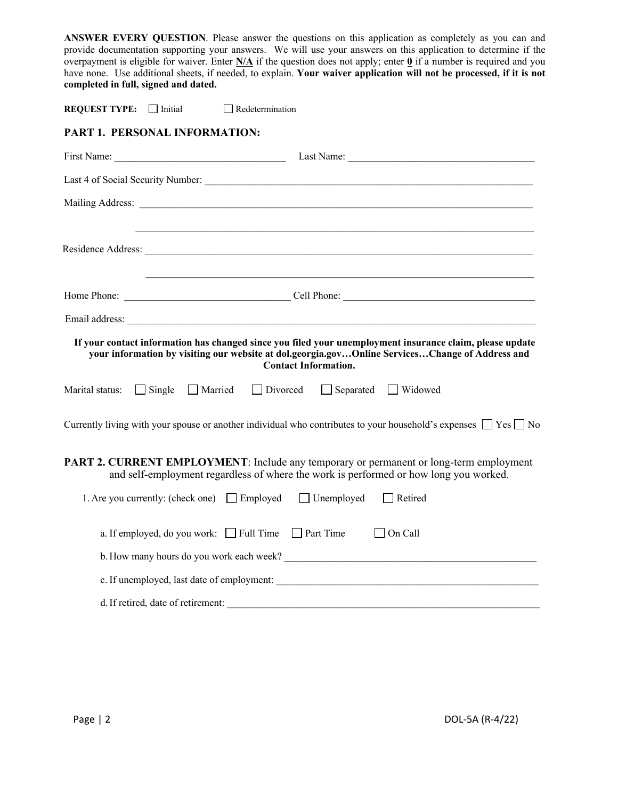**ANSWER EVERY QUESTION**. Please answer the questions on this application as completely as you can and provide documentation supporting your answers. We will use your answers on this application to determine if the overpayment is eligible for waiver. Enter **N/A** if the question does not apply; enter **0** if a number is required and you have none. Use additional sheets, if needed, to explain. **Your waiver application will not be processed, if it is not completed in full, signed and dated.**

**REQUEST TYPE:**  $\Box$  Initial  $\Box$  Redetermination

### **PART 1. PERSONAL INFORMATION:**

|                                                                                    | ,我们也不能在这里的时候,我们也不能会在这里,我们也不能会在这里的时候,我们也不能会在这里的时候,我们也不能会在这里的时候,我们也不能会在这里的时候,我们也不能                                                                                                                                                           |
|------------------------------------------------------------------------------------|--------------------------------------------------------------------------------------------------------------------------------------------------------------------------------------------------------------------------------------------|
|                                                                                    |                                                                                                                                                                                                                                            |
|                                                                                    |                                                                                                                                                                                                                                            |
|                                                                                    |                                                                                                                                                                                                                                            |
|                                                                                    |                                                                                                                                                                                                                                            |
|                                                                                    | If your contact information has changed since you filed your unemployment insurance claim, please update<br>your information by visiting our website at dol.georgia.govOnline ServicesChange of Address and<br><b>Contact Information.</b> |
| $\Box$ Single<br>Marital status:                                                   | Married Divorced Separated Widowed                                                                                                                                                                                                         |
|                                                                                    | Currently living with your spouse or another individual who contributes to your household's expenses $\Box$ Yes $\Box$ No                                                                                                                  |
|                                                                                    | <b>PART 2. CURRENT EMPLOYMENT:</b> Include any temporary or permanent or long-term employment<br>and self-employment regardless of where the work is performed or how long you worked.                                                     |
| 1. Are you currently: (check one) $\Box$ Employed $\Box$ Unemployed $\Box$ Retired |                                                                                                                                                                                                                                            |
| a. If employed, do you work: Full Time Part Time                                   | $\Box$ On Call                                                                                                                                                                                                                             |
|                                                                                    |                                                                                                                                                                                                                                            |
|                                                                                    |                                                                                                                                                                                                                                            |
| d. If retired, date of retirement:                                                 |                                                                                                                                                                                                                                            |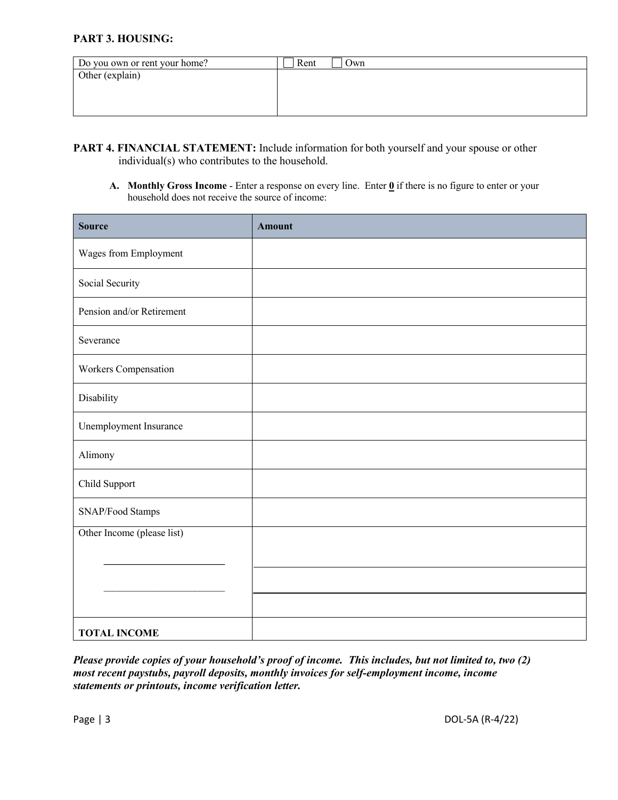## **PART 3. HOUSING:**

| Do you own or rent your home? | Rent<br>Own |
|-------------------------------|-------------|
| Other (explain)               |             |
|                               |             |
|                               |             |
|                               |             |

- **PART 4. FINANCIAL STATEMENT:** Include information for both yourself and your spouse or other individual(s) who contributes to the household.
	- **A. Monthly Gross Income**  Enter a response on every line. Enter **0** if there is no figure to enter or your household does not receive the source of income:

| <b>Source</b>              | <b>Amount</b> |
|----------------------------|---------------|
| Wages from Employment      |               |
| Social Security            |               |
| Pension and/or Retirement  |               |
| Severance                  |               |
| Workers Compensation       |               |
| Disability                 |               |
| Unemployment Insurance     |               |
| Alimony                    |               |
| Child Support              |               |
| SNAP/Food Stamps           |               |
| Other Income (please list) |               |
|                            |               |
|                            |               |
| <b>TOTAL INCOME</b>        |               |

*Please provide copies of your household's proof of income. This includes, but not limited to, two (2) most recent paystubs, payroll deposits, monthly invoices for self-employment income, income statements or printouts, income verification letter.*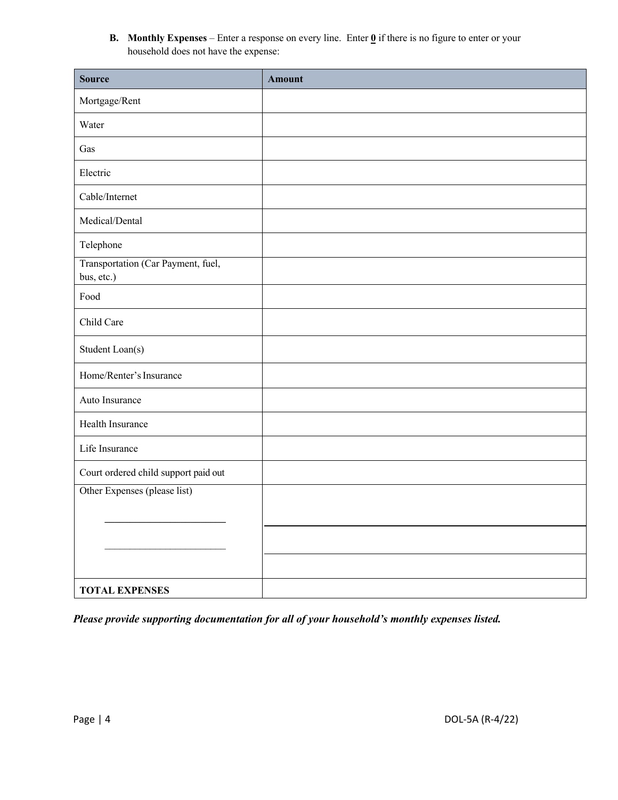**B. Monthly Expenses** – Enter a response on every line. Enter  $\mathbf{0}$  if there is no figure to enter or your household does not have the expense:

| <b>Source</b>                                    | <b>Amount</b> |
|--------------------------------------------------|---------------|
| Mortgage/Rent                                    |               |
| Water                                            |               |
| Gas                                              |               |
| Electric                                         |               |
| Cable/Internet                                   |               |
| Medical/Dental                                   |               |
| Telephone                                        |               |
| Transportation (Car Payment, fuel,<br>bus, etc.) |               |
| Food                                             |               |
| Child Care                                       |               |
| Student Loan(s)                                  |               |
| Home/Renter's Insurance                          |               |
| Auto Insurance                                   |               |
| Health Insurance                                 |               |
| Life Insurance                                   |               |
| Court ordered child support paid out             |               |
| Other Expenses (please list)                     |               |
|                                                  |               |
|                                                  |               |
|                                                  |               |
| <b>TOTAL EXPENSES</b>                            |               |

*Please provide supporting documentation for all of your household's monthly expenses listed.*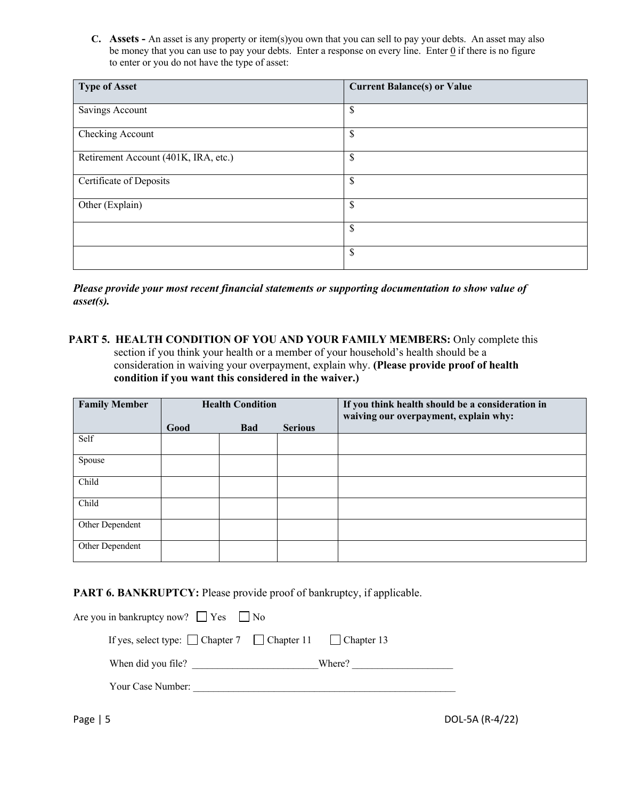**C. Assets -** An asset is any property or item(s)you own that you can sell to pay your debts. An asset may also be money that you can use to pay your debts. Enter a response on every line. Enter  $Q$  if there is no figure to enter or you do not have the type of asset:

| <b>Type of Asset</b>                 | <b>Current Balance(s) or Value</b> |
|--------------------------------------|------------------------------------|
| Savings Account                      | \$                                 |
| Checking Account                     | \$                                 |
| Retirement Account (401K, IRA, etc.) | \$                                 |
| Certificate of Deposits              | \$                                 |
| Other (Explain)                      | $\boldsymbol{\mathsf{S}}$          |
|                                      | \$                                 |
|                                      | $\boldsymbol{\mathsf{S}}$          |

*Please provide your most recent financial statements or supporting documentation to show value of asset(s).*

**PART 5. HEALTH CONDITION OF YOU AND YOUR FAMILY MEMBERS:** Only complete this section if you think your health or a member of your household's health should be a consideration in waiving your overpayment, explain why. **(Please provide proof of health condition if you want this considered in the waiver.)**

| <b>Family Member</b> | <b>Health Condition</b> |            |                | If you think health should be a consideration in<br>waiving our overpayment, explain why: |
|----------------------|-------------------------|------------|----------------|-------------------------------------------------------------------------------------------|
|                      | Good                    | <b>Bad</b> | <b>Serious</b> |                                                                                           |
| Self                 |                         |            |                |                                                                                           |
| Spouse               |                         |            |                |                                                                                           |
| Child                |                         |            |                |                                                                                           |
| Child                |                         |            |                |                                                                                           |
| Other Dependent      |                         |            |                |                                                                                           |
| Other Dependent      |                         |            |                |                                                                                           |

### PART 6. BANKRUPTCY: Please provide proof of bankruptcy, if applicable.

| Are you in bankruptcy now? $\Box$ Yes $\Box$ No                           |        |  |
|---------------------------------------------------------------------------|--------|--|
| If yes, select type: $\Box$ Chapter 7 $\Box$ Chapter 11 $\Box$ Chapter 13 |        |  |
| When did you file?                                                        | Where? |  |
| Your Case Number:                                                         |        |  |